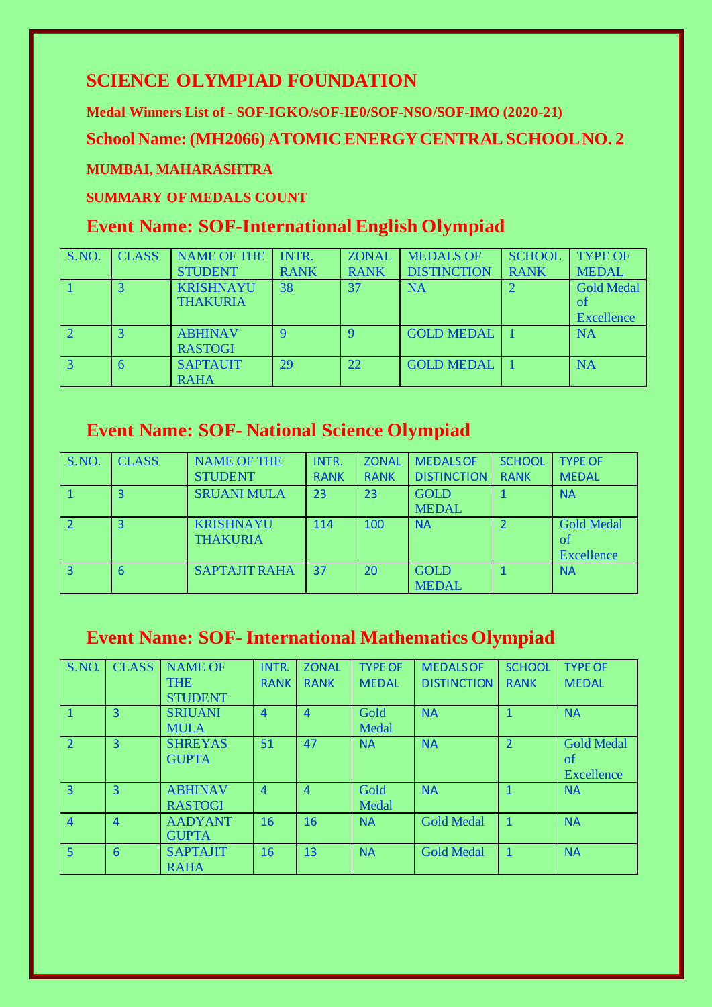## **SCIENCE OLYMPIAD FOUNDATION**

**Medal Winners List of - SOF-IGKO/sOF-IE0/SOF-NSO/SOF-IMO (2020-21)**

**School Name: (MH2066) ATOMIC ENERGY CENTRAL SCHOOL NO. 2**

#### **MUMBAI, MAHARASHTRA**

#### **SUMMARY OF MEDALS COUNT**

## **Event Name: SOF-International English Olympiad**

| S.NO. | <b>CLASS</b> | <b>NAME OF THE</b><br><b>STUDENT</b> | INTR.<br><b>RANK</b> | <b>ZONAL</b><br><b>RANK</b> | <b>MEDALS OF</b><br><b>DISTINCTION</b> | <b>SCHOOL</b><br><b>RANK</b> | <b>TYPE OF</b><br><b>MEDAL</b>                          |
|-------|--------------|--------------------------------------|----------------------|-----------------------------|----------------------------------------|------------------------------|---------------------------------------------------------|
|       |              | <b>KRISHNAYU</b><br><b>THAKURIA</b>  | 38                   | 37                          | <b>NA</b>                              |                              | <b>Gold Medal</b><br><sub>of</sub><br><b>Excellence</b> |
|       |              | <b>ABHINAV</b><br><b>RASTOGI</b>     | Q                    |                             | <b>GOLD MEDAL</b>                      |                              | <b>NA</b>                                               |
|       |              | <b>SAPTAUIT</b><br><b>RAHA</b>       | 29                   | 22                          | <b>GOLD MEDAL</b>                      |                              | <b>NA</b>                                               |

# **Event Name: SOF- National Science Olympiad**

| S.NO.        | <b>CLASS</b> | <b>NAME OF THE</b><br><b>STUDENT</b> | INTR.<br><b>RANK</b> | <b>ZONAL</b><br><b>RANK</b> | <b>MEDALS OF</b><br><b>DISTINCTION</b> | <b>SCHOOL</b><br><b>RANK</b> | <b>TYPE OF</b><br><b>MEDAL</b>        |
|--------------|--------------|--------------------------------------|----------------------|-----------------------------|----------------------------------------|------------------------------|---------------------------------------|
|              | 3            | <b>SRUANI MULA</b>                   | 23                   | 23                          | <b>GOLD</b><br><b>MEDAL</b>            |                              | <b>NA</b>                             |
|              | 3            | <b>KRISHNAYU</b><br><b>THAKURIA</b>  | 114                  | 100                         | <b>NA</b>                              |                              | <b>Gold Medal</b><br>of<br>Excellence |
| $\mathbf{R}$ | 6            | <b>SAPTAJIT RAHA</b>                 | 37                   | 20                          | <b>GOLD</b><br><b>MEDAL</b>            |                              | <b>NA</b>                             |

### **Event Name: SOF- International Mathematics Olympiad**

| S.NO.          | <b>CLASS</b>   | <b>NAME OF</b>  | INTR.          | <b>ZONAL</b>   | <b>TYPE OF</b> | <b>MEDALS OF</b>   | <b>SCHOOL</b>  | <b>TYPE OF</b>    |
|----------------|----------------|-----------------|----------------|----------------|----------------|--------------------|----------------|-------------------|
|                |                | <b>THE</b>      | <b>RANK</b>    | <b>RANK</b>    | <b>MEDAL</b>   | <b>DISTINCTION</b> | <b>RANK</b>    | <b>MEDAL</b>      |
|                |                | <b>STUDENT</b>  |                |                |                |                    |                |                   |
| $\mathbf{1}$   | 3              | <b>SRIUANI</b>  | $\overline{4}$ | $\overline{4}$ | Gold           | <b>NA</b>          |                | <b>NA</b>         |
|                |                | <b>MULA</b>     |                |                | Medal          |                    |                |                   |
| $\overline{2}$ | $\overline{3}$ | <b>SHREYAS</b>  | 51             | 47             | <b>NA</b>      | <b>NA</b>          | $\overline{2}$ | <b>Gold Medal</b> |
|                |                | <b>GUPTA</b>    |                |                |                |                    |                | of                |
|                |                |                 |                |                |                |                    |                | Excellence        |
| $\overline{3}$ | $\overline{3}$ | <b>ABHINAV</b>  | $\overline{4}$ | $\overline{4}$ | Gold           | <b>NA</b>          | $\mathbf{1}$   | <b>NA</b>         |
|                |                | <b>RASTOGI</b>  |                |                | Medal          |                    |                |                   |
| $\overline{4}$ | $\overline{4}$ | <b>AADYANT</b>  | 16             | 16             | <b>NA</b>      | <b>Gold Medal</b>  | $\mathbf{1}$   | <b>NA</b>         |
|                |                | <b>GUPTA</b>    |                |                |                |                    |                |                   |
| 5              | 6              | <b>SAPTAJIT</b> | 16             | 13             | <b>NA</b>      | <b>Gold Medal</b>  | 1              | <b>NA</b>         |
|                |                | <b>RAHA</b>     |                |                |                |                    |                |                   |